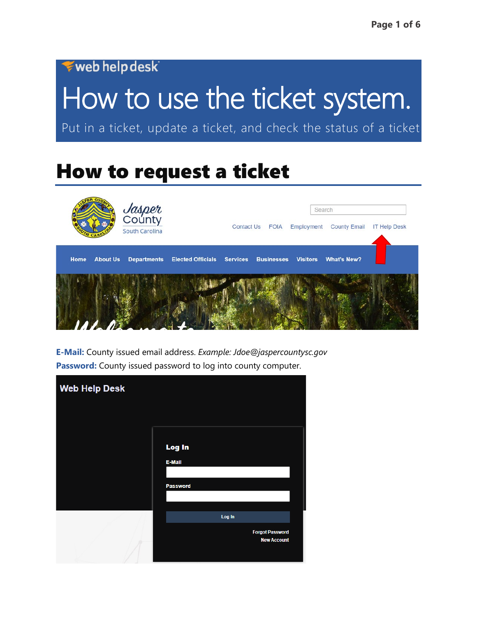### web help desk

# How to use the ticket system.

Put in a ticket, update a ticket, and check the status of a ticket

### How to request a ticket



**E-Mail:** County issued email address. *Example: Jdoe@jaspercountysc.gov* Password: County issued password to log into county computer.

| <b>Web Help Desk</b> |                                              |
|----------------------|----------------------------------------------|
|                      |                                              |
|                      | Log In                                       |
|                      | E-Mail                                       |
|                      | Password                                     |
|                      |                                              |
|                      | Log In                                       |
|                      | <b>Forgot Password</b><br><b>New Account</b> |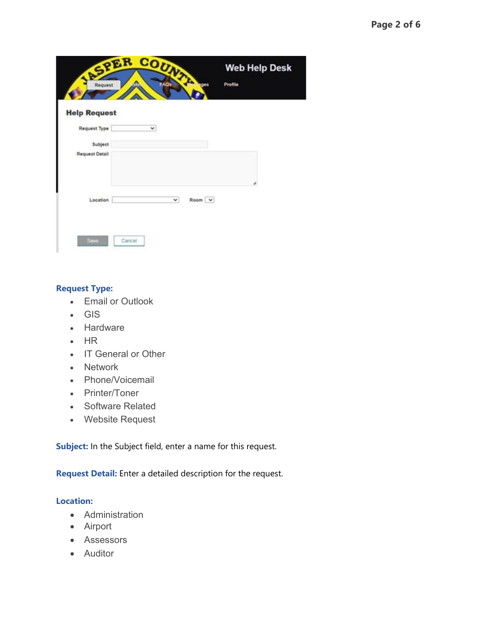| Request               | REPER COUNTY<br><b>FAO</b> s | 9905   | <b>Web Help Desk</b><br>Profile |  |
|-----------------------|------------------------------|--------|---------------------------------|--|
| <b>Help Request</b>   |                              |        |                                 |  |
| Request Type          | v                            |        |                                 |  |
| Subject               |                              |        |                                 |  |
| <b>Request Detail</b> |                              |        |                                 |  |
|                       |                              |        |                                 |  |
|                       |                              |        |                                 |  |
| Location              | v                            | Room V |                                 |  |
|                       |                              |        |                                 |  |
| Save                  | Cancel                       |        |                                 |  |
|                       |                              |        |                                 |  |

#### **Request Type:**

- Email or Outlook
- GIS
- Hardware
- HR
- IT General or Other
- Network
- Phone/Voicemail
- Printer/Toner
- Software Related
- Website Request

**Subject:** In the Subject field, enter a name for this request.

**Request Detail:** Enter a detailed description for the request.

#### **Location:**

- Administration
- Airport
- Assessors
- Auditor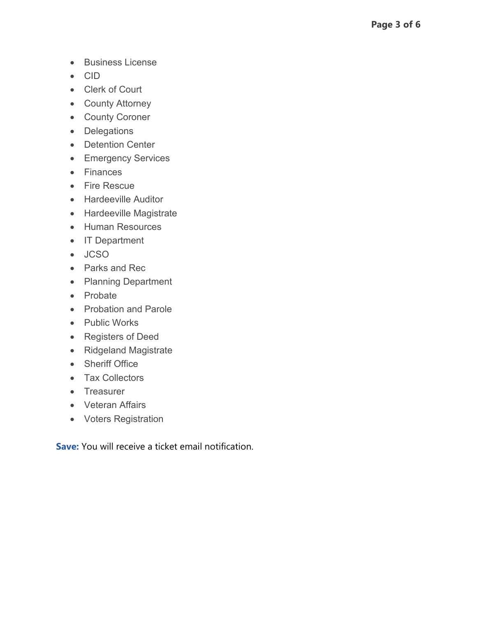- Business License
- CID
- Clerk of Court
- County Attorney
- County Coroner
- Delegations
- Detention Center
- Emergency Services
- Finances
- Fire Rescue
- Hardeeville Auditor
- Hardeeville Magistrate
- Human Resources
- IT Department
- JCSO
- Parks and Rec
- Planning Department
- Probate
- Probation and Parole
- Public Works
- Registers of Deed
- Ridgeland Magistrate
- Sheriff Office
- Tax Collectors
- Treasurer
- Veteran Affairs
- Voters Registration

**Save:** You will receive a ticket email notification.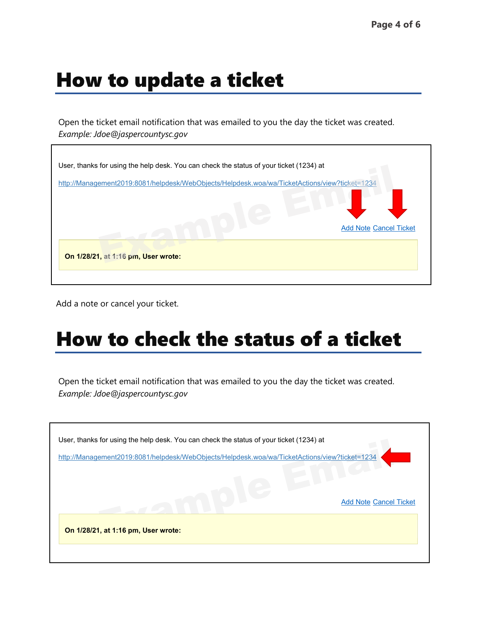### How to update a ticket

Open the ticket email notification that was emailed to you the day the ticket was created. *Example: Jdoe@jaspercountysc.gov*



Add a note or cancel your ticket.

## How to check the status of a ticket

Open the ticket email notification that was emailed to you the day the ticket was created. *Example: Jdoe@jaspercountysc.gov*

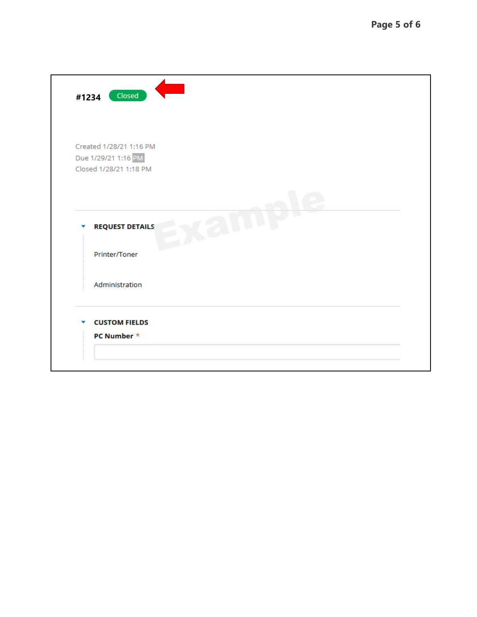| Closed<br>#1234                                                          |
|--------------------------------------------------------------------------|
| Created 1/28/21 1:16 PM<br>Due 1/29/21 1:16 PM<br>Closed 1/28/21 1:18 PM |
| <b>REQUEST DETAILS</b>                                                   |
| Printer/Toner                                                            |
| Administration                                                           |
| <b>CUSTOM FIELDS</b><br>PC Number *                                      |
|                                                                          |